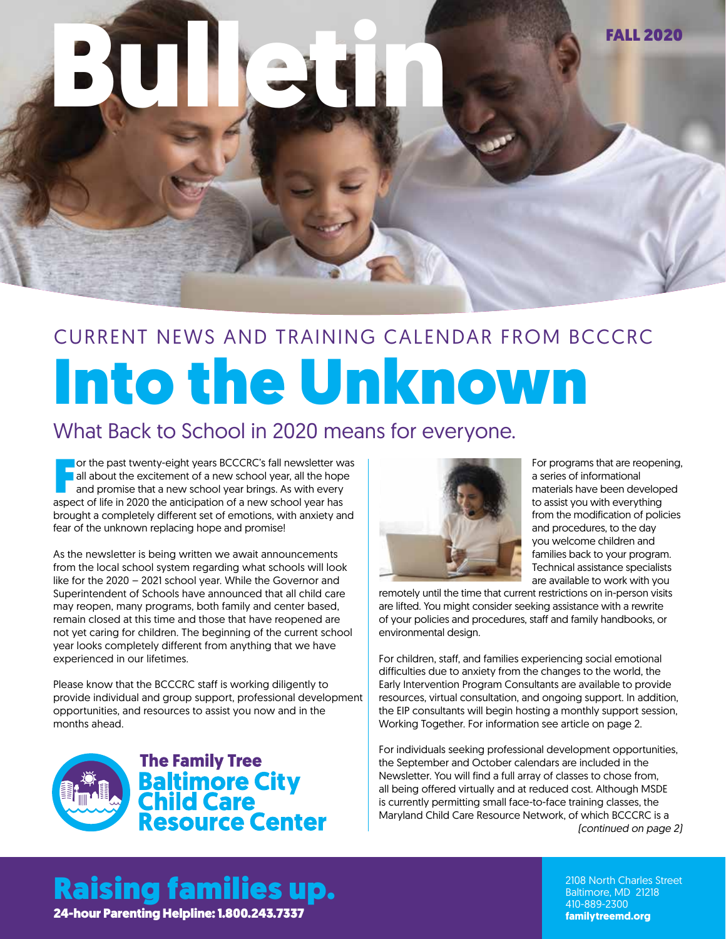

# Into the Unknown CURRENT NEWS AND TRAINING CALENDAR FROM BCCCRC

### What Back to School in 2020 means for everyone.

or the past twenty-eight years BCCCRC's fall newsletter was<br>all about the excitement of a new school year, all the hope<br>and promise that a new school year brings. As with every<br>aspect of life in 2020 the anticipation of a all about the excitement of a new school year, all the hope and promise that a new school year brings. As with every aspect of life in 2020 the anticipation of a new school year has brought a completely different set of emotions, with anxiety and fear of the unknown replacing hope and promise!

As the newsletter is being written we await announcements from the local school system regarding what schools will look like for the 2020 – 2021 school year. While the Governor and Superintendent of Schools have announced that all child care may reopen, many programs, both family and center based, remain closed at this time and those that have reopened are not yet caring for children. The beginning of the current school year looks completely different from anything that we have experienced in our lifetimes.

Please know that the BCCCRC staff is working diligently to provide individual and group support, professional development opportunities, and resources to assist you now and in the months ahead.





For programs that are reopening, a series of informational materials have been developed to assist you with everything from the modification of policies and procedures, to the day you welcome children and families back to your program. Technical assistance specialists are available to work with you

remotely until the time that current restrictions on in-person visits are lifted. You might consider seeking assistance with a rewrite of your policies and procedures, staff and family handbooks, or environmental design.

For children, staff, and families experiencing social emotional difficulties due to anxiety from the changes to the world, the Early Intervention Program Consultants are available to provide resources, virtual consultation, and ongoing support. In addition, the EIP consultants will begin hosting a monthly support session, Working Together. For information see article on page 2.

For individuals seeking professional development opportunities, the September and October calendars are included in the Newsletter. You will find a full array of classes to chose from, all being offered virtually and at reduced cost. Although MSDE is currently permitting small face-to-face training classes, the Maryland Child Care Resource Network, of which BCCCRC is a *(continued on page 2)*

# Raising families up.

24-hour Parenting Helpline: 1.800.243.7337

2108 North Charles Street Baltimore, MD 21218 410-889-2300 **familytreemd.org**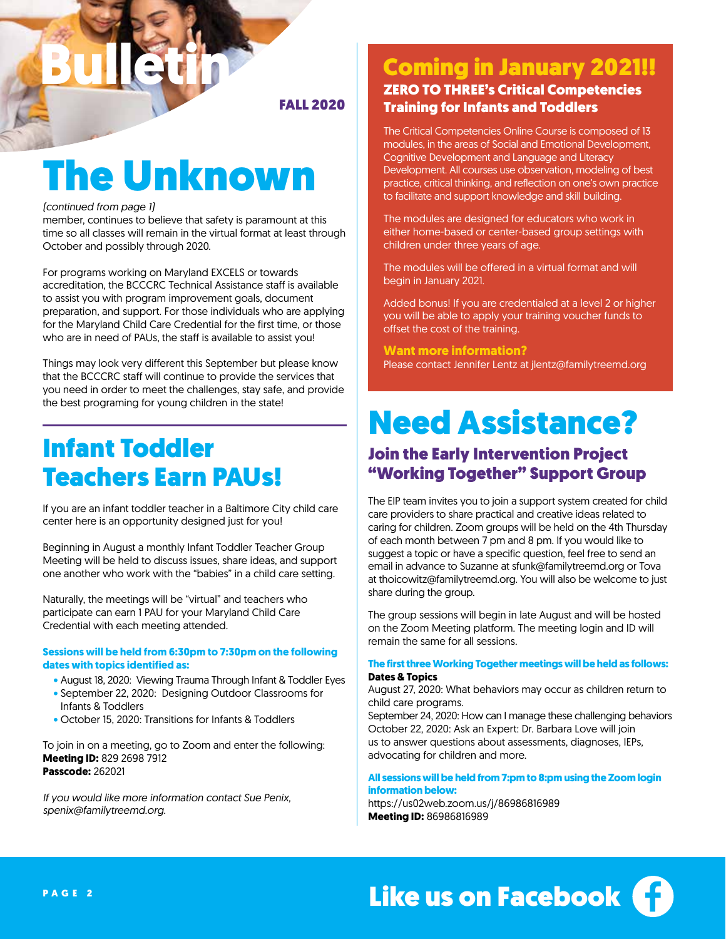FALL 2020

# The Unknown

#### *(continued from page 1)*

**Bulletin**

member, continues to believe that safety is paramount at this time so all classes will remain in the virtual format at least through October and possibly through 2020.

For programs working on Maryland EXCELS or towards accreditation, the BCCCRC Technical Assistance staff is available to assist you with program improvement goals, document preparation, and support. For those individuals who are applying for the Maryland Child Care Credential for the first time, or those who are in need of PAUs, the staff is available to assist you!

Things may look very different this September but please know that the BCCCRC staff will continue to provide the services that you need in order to meet the challenges, stay safe, and provide the best programing for young children in the state!

## Infant Toddler Teachers Earn PAUs!

If you are an infant toddler teacher in a Baltimore City child care center here is an opportunity designed just for you!

Beginning in August a monthly Infant Toddler Teacher Group Meeting will be held to discuss issues, share ideas, and support one another who work with the "babies" in a child care setting.

Naturally, the meetings will be "virtual" and teachers who participate can earn 1 PAU for your Maryland Child Care Credential with each meeting attended.

#### **Sessions will be held from 6:30pm to 7:30pm on the following dates with topics identified as:**

- August 18, 2020: Viewing Trauma Through Infant & Toddler Eyes
- September 22, 2020: Designing Outdoor Classrooms for Infants & Toddlers
- October 15, 2020: Transitions for Infants & Toddlers

To join in on a meeting, go to Zoom and enter the following: **Meeting ID:** 829 2698 7912 **Passcode:** 262021

*If you would like more information contact Sue Penix, spenix@familytreemd.org.*

### Coming in January 2021!! ZERO TO THREE's Critical Competencies

#### Training for Infants and Toddlers

The Critical Competencies Online Course is composed of 13 modules, in the areas of Social and Emotional Development, Cognitive Development and Language and Literacy Development. All courses use observation, modeling of best practice, critical thinking, and reflection on one's own practice to facilitate and support knowledge and skill building.

The modules are designed for educators who work in either home-based or center-based group settings with children under three years of age.

The modules will be offered in a virtual format and will begin in January 2021.

Added bonus! If you are credentialed at a level 2 or higher you will be able to apply your training voucher funds to offset the cost of the training.

**Want more information?** Please contact Jennifer Lentz at jlentz@familytreemd.org

# Need Assistance?

### Join the Early Intervention Project "Working Together" Support Group

The EIP team invites you to join a support system created for child care providers to share practical and creative ideas related to caring for children. Zoom groups will be held on the 4th Thursday of each month between 7 pm and 8 pm. If you would like to suggest a topic or have a specific question, feel free to send an email in advance to Suzanne at sfunk@familytreemd.org or Tova at thoicowitz@familytreemd.org. You will also be welcome to just share during the group.

The group sessions will begin in late August and will be hosted on the Zoom Meeting platform. The meeting login and ID will remain the same for all sessions.

#### **The first three Working Together meetings will be held as follows: Dates & Topics**

August 27, 2020: What behaviors may occur as children return to child care programs.

September 24, 2020: How can I manage these challenging behaviors October 22, 2020: Ask an Expert: Dr. Barbara Love will join us to answer questions about assessments, diagnoses, IEPs, advocating for children and more.

#### **All sessions will be held from 7:pm to 8:pm using the Zoom login information below:**

https://us02web.zoom.us/j/86986816989 **Meeting ID:** 86986816989



Like us on Facebook (F)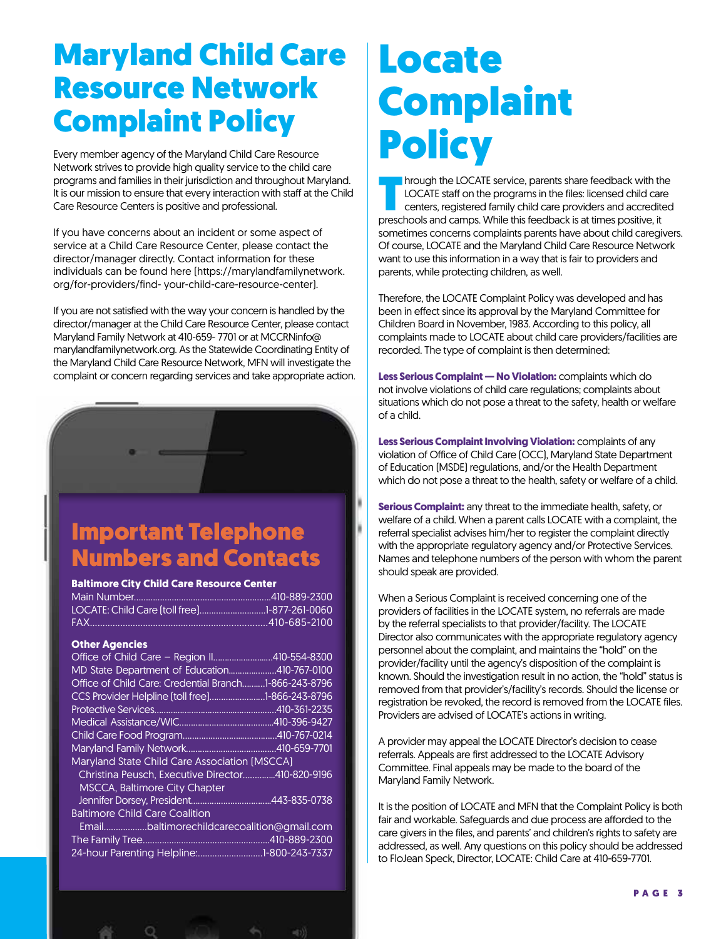## Maryland Child Care Resource Network Complaint Policy

Every member agency of the Maryland Child Care Resource Network strives to provide high quality service to the child care programs and families in their jurisdiction and throughout Maryland. It is our mission to ensure that every interaction with staff at the Child Care Resource Centers is positive and professional.

If you have concerns about an incident or some aspect of service at a Child Care Resource Center, please contact the director/manager directly. Contact information for these individuals can be found here (https://marylandfamilynetwork. org/for-providers/find- your-child-care-resource-center).

If you are not satisfied with the way your concern is handled by the director/manager at the Child Care Resource Center, please contact Maryland Family Network at 410-659- 7701 or at MCCRNinfo@ marylandfamilynetwork.org. As the Statewide Coordinating Entity of the Maryland Child Care Resource Network, MFN will investigate the complaint or concern regarding services and take appropriate action.



### Important Telephone Numbers and Contacts

#### **Baltimore City Child Care Resource Center**

Main Number..........................................................410-889-2300 LOCATE: Child Care (toll free)............................1-877-261-0060 FAX………………………………………………................410-685-2100

 $\circ$ 

#### **Other Agencies**

| Office of Child Care - Region II410-554-8300          |  |
|-------------------------------------------------------|--|
| MD State Department of Education410-767-0100          |  |
| Office of Child Care: Credential Branch1-866-243-8796 |  |
| CCS Provider Helpline [toll free]1-866-243-8796       |  |
|                                                       |  |
|                                                       |  |
|                                                       |  |
|                                                       |  |
| Maryland State Child Care Association [MSCCA]         |  |
| Christina Peusch, Executive Director410-820-9196      |  |
| <b>MSCCA, Baltimore City Chapter</b>                  |  |
|                                                       |  |
| <b>Baltimore Child Care Coalition</b>                 |  |
| Emailbaltimorechildcarecoalition@gmail.com            |  |
|                                                       |  |
| 24-hour Parenting Helpline:1-800-243-7337             |  |

# Locate **Complaint Policy**

Inrough the LOCATE service, parents share feedback with the<br>LOCATE staff on the programs in the files: licensed child care<br>centers, registered family child care providers and accredited<br>preschools and camps. While this fee LOCATE staff on the programs in the files: licensed child care centers, registered family child care providers and accredited preschools and camps. While this feedback is at times positive, it sometimes concerns complaints parents have about child caregivers. Of course, LOCATE and the Maryland Child Care Resource Network want to use this information in a way that is fair to providers and parents, while protecting children, as well.

Therefore, the LOCATE Complaint Policy was developed and has been in effect since its approval by the Maryland Committee for Children Board in November, 1983. According to this policy, all complaints made to LOCATE about child care providers/facilities are recorded. The type of complaint is then determined:

**Less Serious Complaint — No Violation:** complaints which do not involve violations of child care regulations; complaints about situations which do not pose a threat to the safety, health or welfare of a child.

**Less Serious Complaint Involving Violation:** complaints of any violation of Office of Child Care (OCC), Maryland State Department of Education (MSDE) regulations, and/or the Health Department which do not pose a threat to the health, safety or welfare of a child.

**Serious Complaint:** any threat to the immediate health, safety, or welfare of a child. When a parent calls LOCATE with a complaint, the referral specialist advises him/her to register the complaint directly with the appropriate regulatory agency and/or Protective Services. Names and telephone numbers of the person with whom the parent should speak are provided.

When a Serious Complaint is received concerning one of the providers of facilities in the LOCATE system, no referrals are made by the referral specialists to that provider/facility. The LOCATE Director also communicates with the appropriate regulatory agency personnel about the complaint, and maintains the "hold" on the provider/facility until the agency's disposition of the complaint is known. Should the investigation result in no action, the "hold" status is removed from that provider's/facility's records. Should the license or registration be revoked, the record is removed from the LOCATE files. Providers are advised of LOCATE's actions in writing.

A provider may appeal the LOCATE Director's decision to cease referrals. Appeals are first addressed to the LOCATE Advisory Committee. Final appeals may be made to the board of the Maryland Family Network.

It is the position of LOCATE and MFN that the Complaint Policy is both fair and workable. Safeguards and due process are afforded to the care givers in the files, and parents' and children's rights to safety are addressed, as well. Any questions on this policy should be addressed to FloJean Speck, Director, LOCATE: Child Care at 410-659-7701.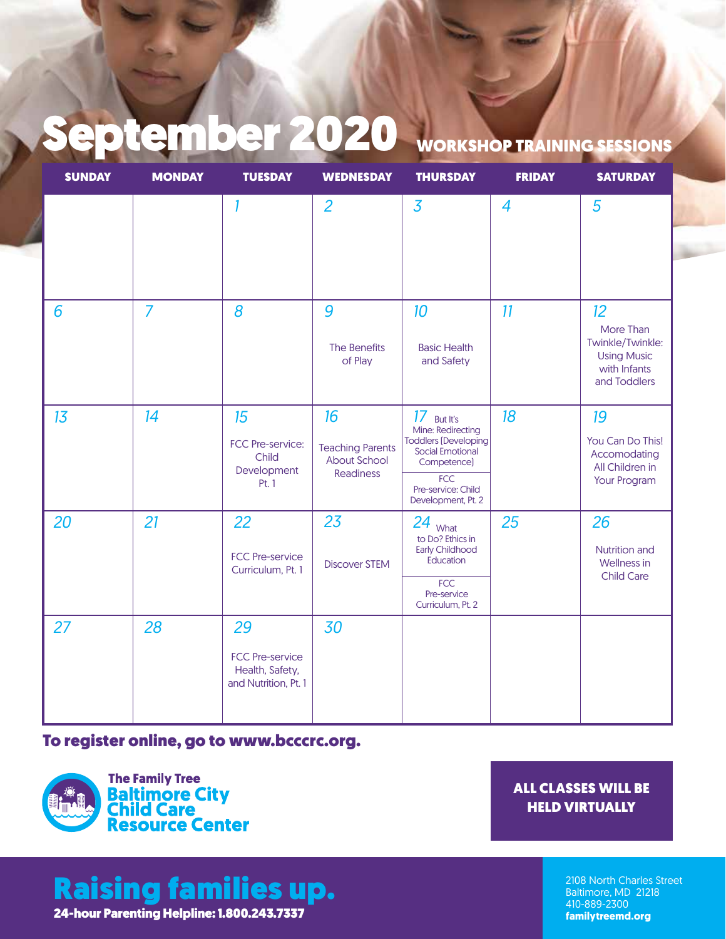# September 2020 WORKSHOP TRAINING SESSIONS

| <b>SUNDAY</b> | <b>MONDAY</b>  | <b>TUESDAY</b>                                                          | <b>WEDNESDAY</b>                                                         | <b>THURSDAY</b>                                                                                                                                                     | <b>FRIDAY</b>  | <b>SATURDAY</b>                                                                           |
|---------------|----------------|-------------------------------------------------------------------------|--------------------------------------------------------------------------|---------------------------------------------------------------------------------------------------------------------------------------------------------------------|----------------|-------------------------------------------------------------------------------------------|
|               |                |                                                                         | $\overline{2}$                                                           | $\overline{3}$                                                                                                                                                      | $\overline{4}$ | 5                                                                                         |
| 6             | $\overline{7}$ | 8                                                                       | 9<br>The Benefits<br>of Play                                             | 10<br><b>Basic Health</b><br>and Safety                                                                                                                             | 11             | 12<br>More Than<br>Twinkle/Twinkle:<br><b>Using Music</b><br>with Infants<br>and Toddlers |
| 13            | 14             | 15<br><b>FCC Pre-service:</b><br>Child<br>Development<br>Pt. 1          | 16<br><b>Teaching Parents</b><br><b>About School</b><br><b>Readiness</b> | 17 But It's<br>Mine: Redirecting<br><b>Toddlers (Developing</b><br><b>Social Emotional</b><br>Competence)<br><b>FCC</b><br>Pre-service: Child<br>Development, Pt. 2 | 18             | 19<br>You Can Do This!<br>Accomodating<br>All Children in<br>Your Program                 |
| 20            | 21             | 22<br><b>FCC Pre-service</b><br>Curriculum, Pt. 1                       | 23<br><b>Discover STEM</b>                                               | 24<br>What<br>to Do? Ethics in<br><b>Early Childhood</b><br>Education<br><b>FCC</b><br>Pre-service<br>Curriculum, Pt. 2                                             | 25             | 26<br>Nutrition and<br>Wellness in<br><b>Child Care</b>                                   |
| 27            | 28             | 29<br><b>FCC Pre-service</b><br>Health, Safety,<br>and Nutrition, Pt. 1 | 30                                                                       |                                                                                                                                                                     |                |                                                                                           |

#### To register online, go to www.bcccrc.org.



### ALL CLASSES WILL BE HELD VIRTUALLY

# Raising families up.

24-hour Parenting Helpline: 1.800.243.7337

2108 North Charles Street Baltimore, MD 21218 410-889-2300 **familytreemd.org**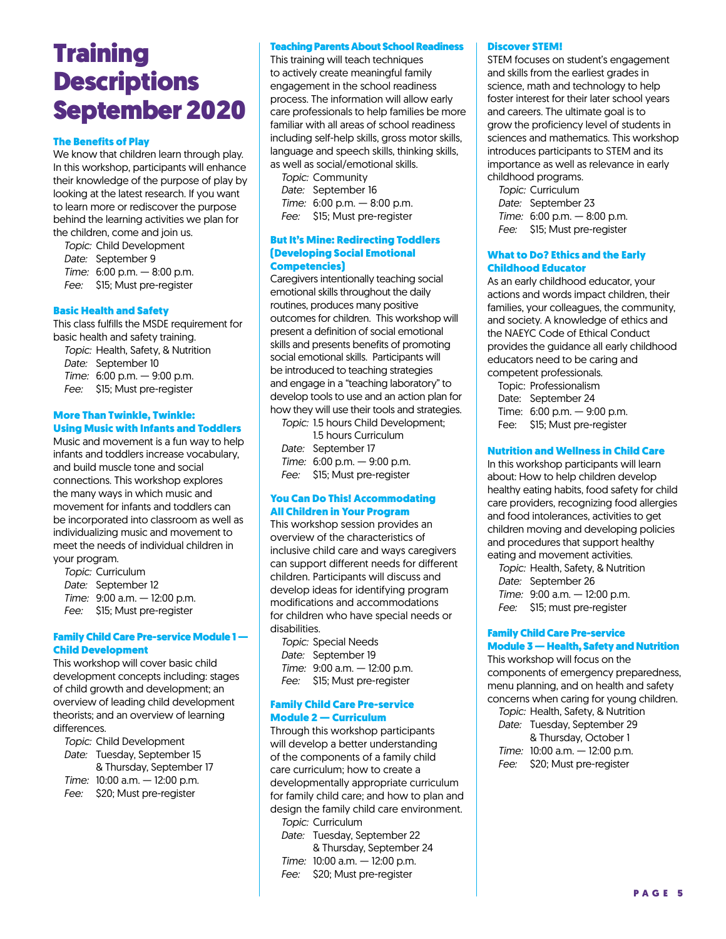## **Training Descriptions** September 2020

#### The Benefits of Play

We know that children learn through play. In this workshop, participants will enhance their knowledge of the purpose of play by looking at the latest research. If you want to learn more or rediscover the purpose behind the learning activities we plan for the children, come and join us.

*Topic:* Child Development *Date:* September 9 *Time:* 6:00 p.m. — 8:00 p.m. *Fee:* \$15; Must pre-register

#### Basic Health and Safety

This class fulfills the MSDE requirement for basic health and safety training.

*Topic:* Health, Safety, & Nutrition *Date:* September 10 *Time:* 6:00 p.m. — 9:00 p.m. *Fee:* \$15; Must pre-register

#### More Than Twinkle, Twinkle: Using Music with Infants and Toddlers

Music and movement is a fun way to help infants and toddlers increase vocabulary, and build muscle tone and social connections. This workshop explores the many ways in which music and movement for infants and toddlers can be incorporated into classroom as well as individualizing music and movement to meet the needs of individual children in your program.

*Topic:* Curriculum *Date:* September 12 *Time:* 9:00 a.m. — 12:00 p.m. *Fee:* \$15; Must pre-register

#### Family Child Care Pre-service Module 1 — Child Development

This workshop will cover basic child development concepts including: stages of child growth and development; an overview of leading child development theorists; and an overview of learning differences.

*Topic:* Child Development *Date:* Tuesday, September 15

- & Thursday, September 17 *Time:* 10:00 a.m. — 12:00 p.m.
- *Fee:* \$20; Must pre-register

#### Teaching Parents About School Readiness

This training will teach techniques to actively create meaningful family engagement in the school readiness process. The information will allow early care professionals to help families be more familiar with all areas of school readiness including self-help skills, gross motor skills, language and speech skills, thinking skills, as well as social/emotional skills.

*Topic:* Community *Date:* September 16 *Time:* 6:00 p.m. — 8:00 p.m. *Fee:* \$15; Must pre-register

#### But It's Mine: Redirecting Toddlers (Developing Social Emotional Competencies)

Caregivers intentionally teaching social emotional skills throughout the daily routines, produces many positive outcomes for children. This workshop will present a definition of social emotional skills and presents benefits of promoting social emotional skills. Participants will be introduced to teaching strategies and engage in a "teaching laboratory" to develop tools to use and an action plan for how they will use their tools and strategies.

*Topic:* 1.5 hours Child Development; 1.5 hours Curriculum *Date:* September 17 *Time:* 6:00 p.m. — 9:00 p.m. *Fee:* \$15; Must pre-register

#### You Can Do This! Accommodating All Children in Your Program

This workshop session provides an overview of the characteristics of inclusive child care and ways caregivers can support different needs for different children. Participants will discuss and develop ideas for identifying program modifications and accommodations for children who have special needs or disabilities.

*Topic:* Special Needs *Date:* September 19 *Time:* 9:00 a.m. — 12:00 p.m. *Fee:* \$15; Must pre-register

#### Family Child Care Pre-service Module 2 — Curriculum

Through this workshop participants will develop a better understanding of the components of a family child care curriculum; how to create a developmentally appropriate curriculum for family child care; and how to plan and design the family child care environment.

|  | Topic: Curriculum                |
|--|----------------------------------|
|  | Date: Tuesday, September 22      |
|  | & Thursday, September 24         |
|  | Time: $10:00$ a.m. $-12:00$ p.m. |
|  | Fee: \$20; Must pre-register     |

#### Discover STEM!

STEM focuses on student's engagement and skills from the earliest grades in science, math and technology to help foster interest for their later school years and careers. The ultimate goal is to grow the proficiency level of students in sciences and mathematics. This workshop introduces participants to STEM and its importance as well as relevance in early childhood programs.

*Topic:* Curriculum *Date:* September 23 *Time:* 6:00 p.m. — 8:00 p.m. *Fee:* \$15; Must pre-register

#### What to Do? Ethics and the Early Childhood Educator

As an early childhood educator, your actions and words impact children, their families, your colleagues, the community, and society. A knowledge of ethics and the NAEYC Code of Ethical Conduct provides the guidance all early childhood educators need to be caring and competent professionals.

Topic: Professionalism Date: September 24 Time: 6:00 p.m. — 9:00 p.m.

Fee: \$15; Must pre-register

#### Nutrition and Wellness in Child Care

In this workshop participants will learn about: How to help children develop healthy eating habits, food safety for child care providers, recognizing food allergies and food intolerances, activities to get children moving and developing policies and procedures that support healthy eating and movement activities.

*Topic:* Health, Safety, & Nutrition *Date:* September 26 *Time:* 9:00 a.m. — 12:00 p.m. *Fee:* \$15; must pre-register

#### Family Child Care Pre-service Module 3 — Health, Safety and Nutrition

This workshop will focus on the components of emergency preparedness, menu planning, and on health and safety concerns when caring for young children.

*Topic:* Health, Safety, & Nutrition *Date:* Tuesday, September 29 & Thursday, October 1 *Time:* 10:00 a.m. — 12:00 p.m. *Fee:* \$20; Must pre-register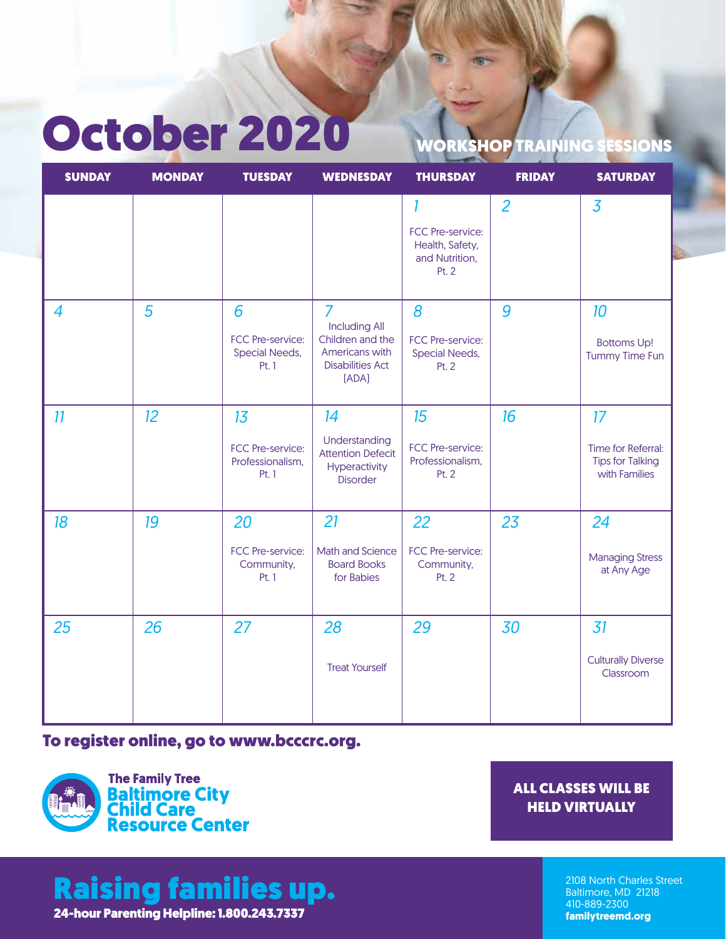# October 2020 WORKSHOP TRAINING SESSIONS

| <b>SUNDAY</b> | <b>MONDAY</b> | <b>TUESDAY</b>                                             | <b>WEDNESDAY</b>                                                                                    | <b>THURSDAY</b>                                                            | <b>FRIDAY</b>  | <b>SATURDAY</b>                                                      |
|---------------|---------------|------------------------------------------------------------|-----------------------------------------------------------------------------------------------------|----------------------------------------------------------------------------|----------------|----------------------------------------------------------------------|
|               |               |                                                            |                                                                                                     | 1<br><b>FCC Pre-service:</b><br>Health, Safety,<br>and Nutrition,<br>Pt. 2 | $\overline{2}$ | $\overline{3}$                                                       |
| 4             | 5             | 6<br>FCC Pre-service:<br>Special Needs,<br>Pt. 1           | 7<br><b>Including All</b><br>Children and the<br>Americans with<br><b>Disabilities Act</b><br>[ADA] | 8<br><b>FCC Pre-service:</b><br>Special Needs,<br>Pt. 2                    | 9              | 10<br><b>Bottoms Up!</b><br>Tummy Time Fun                           |
| 11            | 12            | 13<br><b>FCC Pre-service:</b><br>Professionalism,<br>Pt. 1 | 14<br>Understanding<br><b>Attention Defecit</b><br>Hyperactivity<br><b>Disorder</b>                 | 15<br><b>FCC Pre-service:</b><br>Professionalism,<br>Pt. 2                 | 16             | 17<br>Time for Referral:<br><b>Tips for Talking</b><br>with Families |
| 18            | 19            | 20<br><b>FCC Pre-service:</b><br>Community,<br>Pt. 1       | 21<br>Math and Science<br><b>Board Books</b><br>for Babies                                          | 22<br><b>FCC Pre-service:</b><br>Community,<br>Pt. 2                       | 23             | 24<br><b>Managing Stress</b><br>at Any Age                           |
| 25            | 26            | 27                                                         | 28<br><b>Treat Yourself</b>                                                                         | 29                                                                         | 30             | 31<br><b>Culturally Diverse</b><br>Classroom                         |

#### To register online, go to www.bcccrc.org.



#### ALL CLASSES WILL BE HELD VIRTUALLY

### Raising families up. 24-hour Parenting Helpline: 1.800.243.7337

2108 North Charles Street Baltimore, MD 21218 410-889-2300 **familytreemd.org**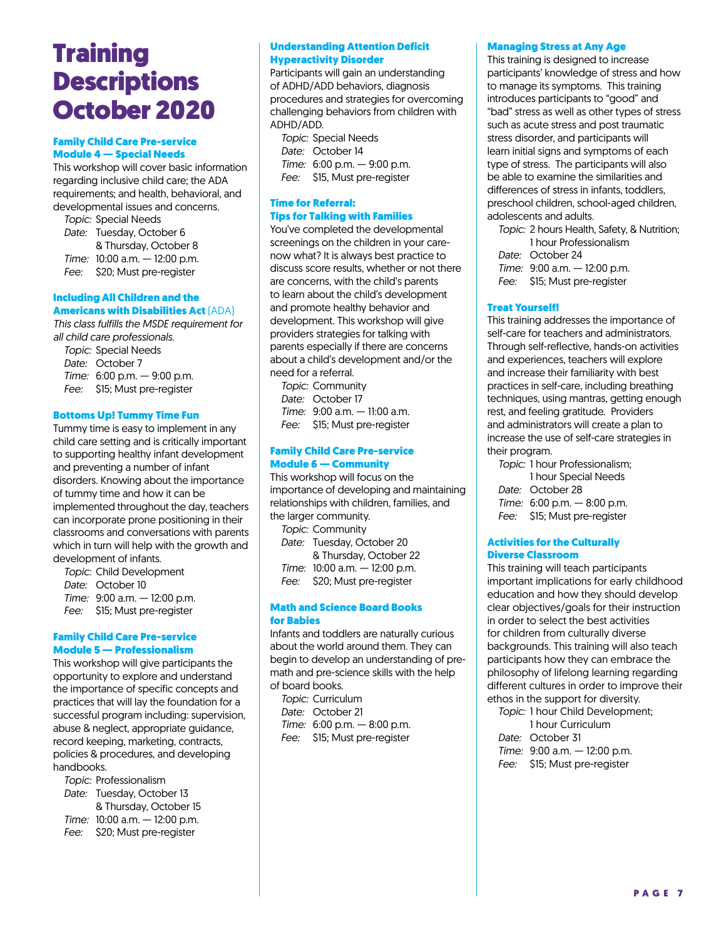## **Training Descriptions** October 2020

#### Family Child Care Pre-service Module 4 — Special Needs

This workshop will cover basic information regarding inclusive child care; the ADA requirements; and health, behavioral, and developmental issues and concerns.

*Topic:* Special Needs *Date:* Tuesday, October 6 & Thursday, October 8 *Time:* 10:00 a.m. — 12:00 p.m. *Fee:* \$20; Must pre-register

#### Including All Children and the Americans with Disabilities Act (ADA)

*This class fulfills the MSDE requirement for all child care professionals.*

*Topic:* Special Needs *Date:* October 7 *Time:* 6:00 p.m. — 9:00 p.m. *Fee:* \$15; Must pre-register

#### Bottoms Up! Tummy Time Fun

Tummy time is easy to implement in any child care setting and is critically important to supporting healthy infant development and preventing a number of infant disorders. Knowing about the importance of tummy time and how it can be implemented throughout the day, teachers can incorporate prone positioning in their classrooms and conversations with parents which in turn will help with the growth and development of infants.

*Topic:* Child Development *Date:* October 10 *Time:* 9:00 a.m. — 12:00 p.m. *Fee:* \$15; Must pre-register

#### Family Child Care Pre-service Module 5 — Professionalism

This workshop will give participants the opportunity to explore and understand the importance of specific concepts and practices that will lay the foundation for a successful program including: supervision, abuse & neglect, appropriate guidance, record keeping, marketing, contracts, policies & procedures, and developing handbooks.

*Topic:* Professionalism *Date:* Tuesday, October 13 & Thursday, October 15 *Time:* 10:00 a.m. — 12:00 p.m. *Fee:* \$20; Must pre-register

#### Understanding Attention Deficit Hyperactivity Disorder

Participants will gain an understanding of ADHD/ADD behaviors, diagnosis procedures and strategies for overcoming challenging behaviors from children with ADHD/ADD.

*Topic:* Special Needs *Date:* October 14 *Time:* 6:00 p.m. — 9:00 p.m. *Fee:* \$15, Must pre-register

#### Time for Referral: Tips for Talking with Families

You've completed the developmental screenings on the children in your carenow what? It is always best practice to discuss score results, whether or not there are concerns, with the child's parents to learn about the child's development and promote healthy behavior and development. This workshop will give providers strategies for talking with parents especially if there are concerns about a child's development and/or the need for a referral.

*Topic:* Community *Date:* October 17 *Time:* 9:00 a.m. — 11:00 a.m. *Fee:* \$15; Must pre-register

#### Family Child Care Pre-service Module 6 — Community

This workshop will focus on the importance of developing and maintaining relationships with children, families, and the larger community.

|  | Topic: Community              |
|--|-------------------------------|
|  | Date: Tuesday, October 20     |
|  | & Thursday, October 22        |
|  | Time: 10:00 a.m. - 12:00 p.m. |
|  | Fee: \$20; Must pre-register  |

#### Math and Science Board Books for Babies

Infants and toddlers are naturally curious about the world around them. They can begin to develop an understanding of premath and pre-science skills with the help of board books.

*Topic:* Curriculum *Date:* October 21

*Time:* 6:00 p.m. — 8:00 p.m.

*Fee:* \$15; Must pre-register

#### Managing Stress at Any Age

This training is designed to increase participants' knowledge of stress and how to manage its symptoms. This training introduces participants to "good" and "bad" stress as well as other types of stress such as acute stress and post traumatic stress disorder, and participants will learn initial signs and symptoms of each type of stress. The participants will also be able to examine the similarities and differences of stress in infants, toddlers, preschool children, school-aged children, adolescents and adults.

*Topic:* 2 hours Health, Safety, & Nutrition; 1 hour Professionalism

- *Date:* October 24
- *Time:* 9:00 a.m. 12:00 p.m.
- *Fee:* \$15; Must pre-register

#### Treat Yourself!

This training addresses the importance of self-care for teachers and administrators. Through self-reflective, hands-on activities and experiences, teachers will explore and increase their familiarity with best practices in self-care, including breathing techniques, using mantras, getting enough rest, and feeling gratitude. Providers and administrators will create a plan to increase the use of self-care strategies in their program.

*Topic:* 1 hour Professionalism;

 1 hour Special Needs *Date:* October 28 *Time:* 6:00 p.m. — 8:00 p.m. *Fee:* \$15; Must pre-register

#### Activities for the Culturally Diverse Classroom

This training will teach participants important implications for early childhood education and how they should develop clear objectives/goals for their instruction in order to select the best activities for children from culturally diverse backgrounds. This training will also teach participants how they can embrace the philosophy of lifelong learning regarding different cultures in order to improve their ethos in the support for diversity.

*Topic:* 1 hour Child Development; 1 hour Curriculum

*Date:* October 31 *Time:* 9:00 a.m. — 12:00 p.m. *Fee:* \$15; Must pre-register